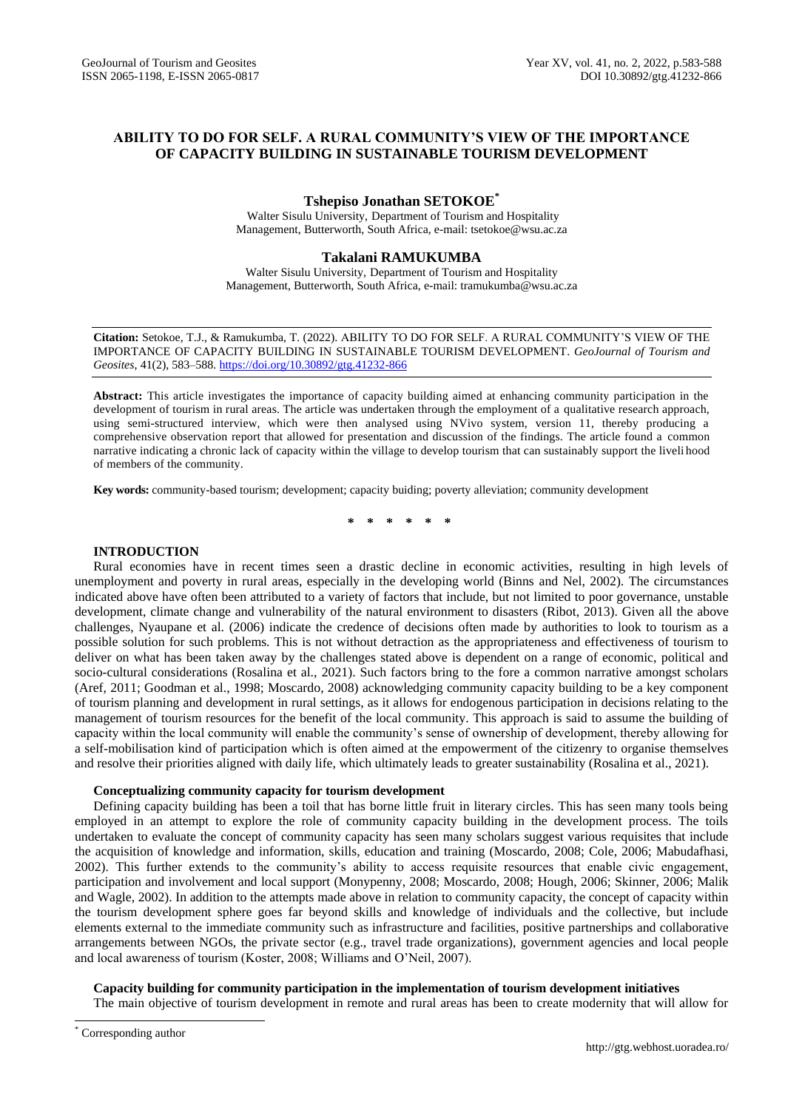# **ABILITY TO DO FOR SELF. A RURAL COMMUNITY'S VIEW OF THE IMPORTANCE OF CAPACITY BUILDING IN SUSTAINABLE TOURISM DEVELOPMENT**

# **Tshepiso Jonathan SETOKOE\***

Walter Sisulu University, Department of Tourism and Hospitality Management, Butterworth, South Africa, e-mail: [tsetokoe@wsu.ac.za](mailto:tsetokoe@wsu.ac.za)

# **Takalani RAMUKUMBA**

Walter Sisulu University, Department of Tourism and Hospitality Management, Butterworth, South Africa, e-mail: tramukumba@wsu.ac.za

**Citation:** Setokoe, T.J., & Ramukumba, T. (2022). ABILITY TO DO FOR SELF. A RURAL COMMUNITY'S VIEW OF THE IMPORTANCE OF CAPACITY BUILDING IN SUSTAINABLE TOURISM DEVELOPMENT. *GeoJournal of Tourism and Geosites*, 41(2), 583–588. <https://doi.org/10.30892/gtg.41232-866>

**Abstract:** This article investigates the importance of capacity building aimed at enhancing community participation in the development of tourism in rural areas. The article was undertaken through the employment of a qualitative research approach, using semi-structured interview, which were then analysed using NVivo system, version 11, thereby producing a comprehensive observation report that allowed for presentation and discussion of the findings. The article found a common narrative indicating a chronic lack of capacity within the village to develop tourism that can sustainably support the liveli hood of members of the community.

**Key words:** community-based tourism; development; capacity buiding; poverty alleviation; community development

**\* \* \* \* \* \***

# **INTRODUCTION**

Rural economies have in recent times seen a drastic decline in economic activities, resulting in high levels of unemployment and poverty in rural areas, especially in the developing world (Binns and Nel, 2002). The circumstances indicated above have often been attributed to a variety of factors that include, but not limited to poor governance, unstable development, climate change and vulnerability of the natural environment to disasters (Ribot, 2013). Given all the above challenges, Nyaupane et al. (2006) indicate the credence of decisions often made by authorities to look to tourism as a possible solution for such problems. This is not without detraction as the appropriateness and effectiveness of tourism to deliver on what has been taken away by the challenges stated above is dependent on a range of economic, political and socio-cultural considerations (Rosalina et al., 2021). Such factors bring to the fore a common narrative amongst scholars (Aref, 2011; Goodman et al., 1998; Moscardo, 2008) acknowledging community capacity building to be a key component of tourism planning and development in rural settings, as it allows for endogenous participation in decisions relating to the management of tourism resources for the benefit of the local community. This approach is said to assume the building of capacity within the local community will enable the community's sense of ownership of development, thereby allowing for a self-mobilisation kind of participation which is often aimed at the empowerment of the citizenry to organise themselves and resolve their priorities aligned with daily life, which ultimately leads to greater sustainability (Rosalina et al., 2021).

## **Conceptualizing community capacity for tourism development**

Defining capacity building has been a toil that has borne little fruit in literary circles. This has seen many tools being employed in an attempt to explore the role of community capacity building in the development process. The toils undertaken to evaluate the concept of community capacity has seen many scholars suggest various requisites that include the acquisition of knowledge and information, skills, education and training (Moscardo, 2008; Cole, 2006; Mabudafhasi, 2002). This further extends to the community's ability to access requisite resources that enable civic engagement, participation and involvement and local support (Monypenny, 2008; Moscardo, 2008; Hough, 2006; Skinner, 2006; Malik and Wagle, 2002). In addition to the attempts made above in relation to community capacity, the concept of capacity within the tourism development sphere goes far beyond skills and knowledge of individuals and the collective, but include elements external to the immediate community such as infrastructure and facilities, positive partnerships and collaborative arrangements between NGOs, the private sector (e.g., travel trade organizations), government agencies and local people and local awareness of tourism (Koster, 2008; Williams and O'Neil, 2007).

# **Capacity building for community participation in the implementation of tourism development initiatives**

The main objective of tourism development in remote and rural areas has been to create modernity that will allow for

 $\overline{a}$ 

Corresponding author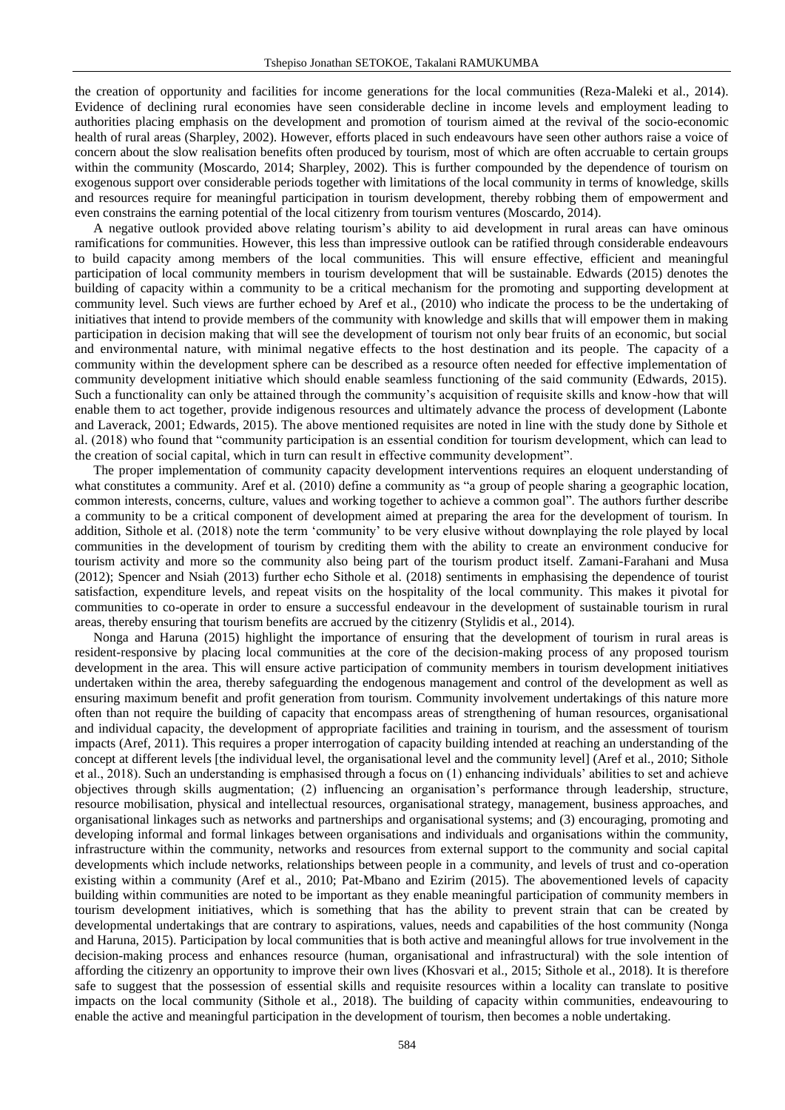the creation of opportunity and facilities for income generations for the local communities (Reza-Maleki et al., 2014). Evidence of declining rural economies have seen considerable decline in income levels and employment leading to authorities placing emphasis on the development and promotion of tourism aimed at the revival of the socio-economic health of rural areas (Sharpley, 2002). However, efforts placed in such endeavours have seen other authors raise a voice of concern about the slow realisation benefits often produced by tourism, most of which are often accruable to certain groups within the community (Moscardo, 2014; Sharpley, 2002). This is further compounded by the dependence of tourism on exogenous support over considerable periods together with limitations of the local community in terms of knowledge, skills and resources require for meaningful participation in tourism development, thereby robbing them of empowerment and even constrains the earning potential of the local citizenry from tourism ventures (Moscardo, 2014).

A negative outlook provided above relating tourism's ability to aid development in rural areas can have ominous ramifications for communities. However, this less than impressive outlook can be ratified through considerable endeavours to build capacity among members of the local communities. This will ensure effective, efficient and meaningful participation of local community members in tourism development that will be sustainable. Edwards (2015) denotes the building of capacity within a community to be a critical mechanism for the promoting and supporting development at community level. Such views are further echoed by Aref et al., (2010) who indicate the process to be the undertaking of initiatives that intend to provide members of the community with knowledge and skills that will empower them in making participation in decision making that will see the development of tourism not only bear fruits of an economic, but social and environmental nature, with minimal negative effects to the host destination and its people. The capacity of a community within the development sphere can be described as a resource often needed for effective implementation of community development initiative which should enable seamless functioning of the said community (Edwards, 2015). Such a functionality can only be attained through the community's acquisition of requisite skills and know-how that will enable them to act together, provide indigenous resources and ultimately advance the process of development (Labonte and Laverack, 2001; Edwards, 2015). The above mentioned requisites are noted in line with the study done by Sithole et al. (2018) who found that "community participation is an essential condition for tourism development, which can lead to the creation of social capital, which in turn can result in effective community development".

The proper implementation of community capacity development interventions requires an eloquent understanding of what constitutes a community. Aref et al. (2010) define a community as "a group of people sharing a geographic location, common interests, concerns, culture, values and working together to achieve a common goal". The authors further describe a community to be a critical component of development aimed at preparing the area for the development of tourism. In addition, Sithole et al. (2018) note the term 'community' to be very elusive without downplaying the role played by local communities in the development of tourism by crediting them with the ability to create an environment conducive for tourism activity and more so the community also being part of the tourism product itself. Zamani-Farahani and Musa (2012); Spencer and Nsiah (2013) further echo Sithole et al. (2018) sentiments in emphasising the dependence of tourist satisfaction, expenditure levels, and repeat visits on the hospitality of the local community. This makes it pivotal for communities to co-operate in order to ensure a successful endeavour in the development of sustainable tourism in rural areas, thereby ensuring that tourism benefits are accrued by the citizenry (Stylidis et al., 2014).

Nonga and Haruna (2015) highlight the importance of ensuring that the development of tourism in rural areas is resident-responsive by placing local communities at the core of the decision-making process of any proposed tourism development in the area. This will ensure active participation of community members in tourism development initiatives undertaken within the area, thereby safeguarding the endogenous management and control of the development as well as ensuring maximum benefit and profit generation from tourism. Community involvement undertakings of this nature more often than not require the building of capacity that encompass areas of strengthening of human resources, organisational and individual capacity, the development of appropriate facilities and training in tourism, and the assessment of tourism impacts (Aref, 2011). This requires a proper interrogation of capacity building intended at reaching an understanding of the concept at different levels [the individual level, the organisational level and the community level] (Aref et al., 2010; Sithole et al., 2018). Such an understanding is emphasised through a focus on (1) enhancing individuals' abilities to set and achieve objectives through skills augmentation; (2) influencing an organisation's performance through leadership, structure, resource mobilisation, physical and intellectual resources, organisational strategy, management, business approaches, and organisational linkages such as networks and partnerships and organisational systems; and (3) encouraging, promoting and developing informal and formal linkages between organisations and individuals and organisations within the community, infrastructure within the community, networks and resources from external support to the community and social capital developments which include networks, relationships between people in a community, and levels of trust and co-operation existing within a community (Aref et al., 2010; Pat-Mbano and Ezirim (2015). The abovementioned levels of capacity building within communities are noted to be important as they enable meaningful participation of community members in tourism development initiatives, which is something that has the ability to prevent strain that can be created by developmental undertakings that are contrary to aspirations, values, needs and capabilities of the host community (Nonga and Haruna, 2015). Participation by local communities that is both active and meaningful allows for true involvement in the decision-making process and enhances resource (human, organisational and infrastructural) with the sole intention of affording the citizenry an opportunity to improve their own lives (Khosvari et al., 2015; Sithole et al., 2018). It is therefore safe to suggest that the possession of essential skills and requisite resources within a locality can translate to positive impacts on the local community (Sithole et al., 2018). The building of capacity within communities, endeavouring to enable the active and meaningful participation in the development of tourism, then becomes a noble undertaking.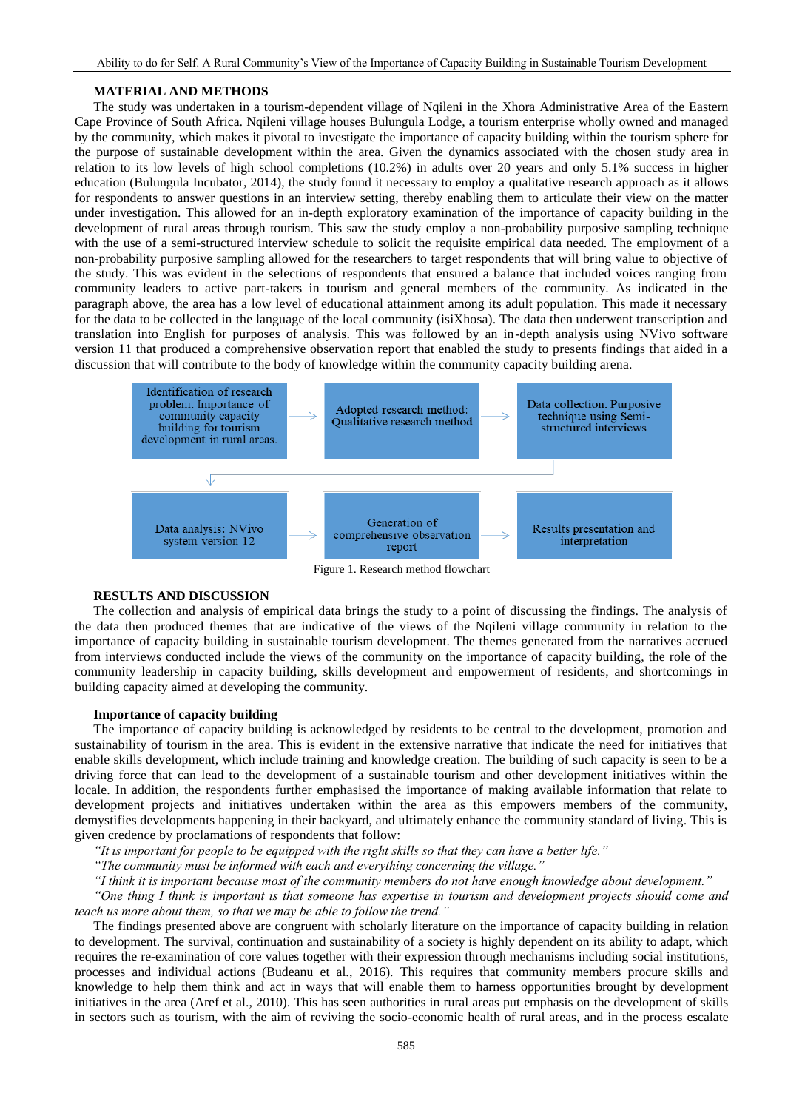### **MATERIAL AND METHODS**

The study was undertaken in a tourism-dependent village of Nqileni in the Xhora Administrative Area of the Eastern Cape Province of South Africa. Nqileni village houses Bulungula Lodge, a tourism enterprise wholly owned and managed by the community, which makes it pivotal to investigate the importance of capacity building within the tourism sphere for the purpose of sustainable development within the area. Given the dynamics associated with the chosen study area in relation to its low levels of high school completions (10.2%) in adults over 20 years and only 5.1% success in higher education (Bulungula Incubator, 2014), the study found it necessary to employ a qualitative research approach as it allows for respondents to answer questions in an interview setting, thereby enabling them to articulate their view on the matter under investigation. This allowed for an in-depth exploratory examination of the importance of capacity building in the development of rural areas through tourism. This saw the study employ a non-probability purposive sampling technique with the use of a semi-structured interview schedule to solicit the requisite empirical data needed. The employment of a non-probability purposive sampling allowed for the researchers to target respondents that will bring value to objective of the study. This was evident in the selections of respondents that ensured a balance that included voices ranging from community leaders to active part-takers in tourism and general members of the community. As indicated in the paragraph above, the area has a low level of educational attainment among its adult population. This made it necessary for the data to be collected in the language of the local community (isiXhosa). The data then underwent transcription and translation into English for purposes of analysis. This was followed by an in-depth analysis using NVivo software version 11 that produced a comprehensive observation report that enabled the study to presents findings that aided in a discussion that will contribute to the body of knowledge within the community capacity building arena.



## **RESULTS AND DISCUSSION**

The collection and analysis of empirical data brings the study to a point of discussing the findings. The analysis of the data then produced themes that are indicative of the views of the Nqileni village community in relation to the importance of capacity building in sustainable tourism development. The themes generated from the narratives accrued from interviews conducted include the views of the community on the importance of capacity building, the role of the community leadership in capacity building, skills development and empowerment of residents, and shortcomings in building capacity aimed at developing the community.

# **Importance of capacity building**

The importance of capacity building is acknowledged by residents to be central to the development, promotion and sustainability of tourism in the area. This is evident in the extensive narrative that indicate the need for initiatives that enable skills development, which include training and knowledge creation. The building of such capacity is seen to be a driving force that can lead to the development of a sustainable tourism and other development initiatives within the locale. In addition, the respondents further emphasised the importance of making available information that relate to development projects and initiatives undertaken within the area as this empowers members of the community, demystifies developments happening in their backyard, and ultimately enhance the community standard of living. This is given credence by proclamations of respondents that follow:

*"It is important for people to be equipped with the right skills so that they can have a better life."* 

*"The community must be informed with each and everything concerning the village."* 

*"I think it is important because most of the community members do not have enough knowledge about development."* 

*"One thing I think is important is that someone has expertise in tourism and development projects should come and teach us more about them, so that we may be able to follow the trend."* 

The findings presented above are congruent with scholarly literature on the importance of capacity building in relation to development. The survival, continuation and sustainability of a society is highly dependent on its ability to adapt, which requires the re-examination of core values together with their expression through mechanisms including social institutions, processes and individual actions (Budeanu et al., 2016). This requires that community members procure skills and knowledge to help them think and act in ways that will enable them to harness opportunities brought by development initiatives in the area (Aref et al., 2010). This has seen authorities in rural areas put emphasis on the development of skills in sectors such as tourism, with the aim of reviving the socio-economic health of rural areas, and in the process escalate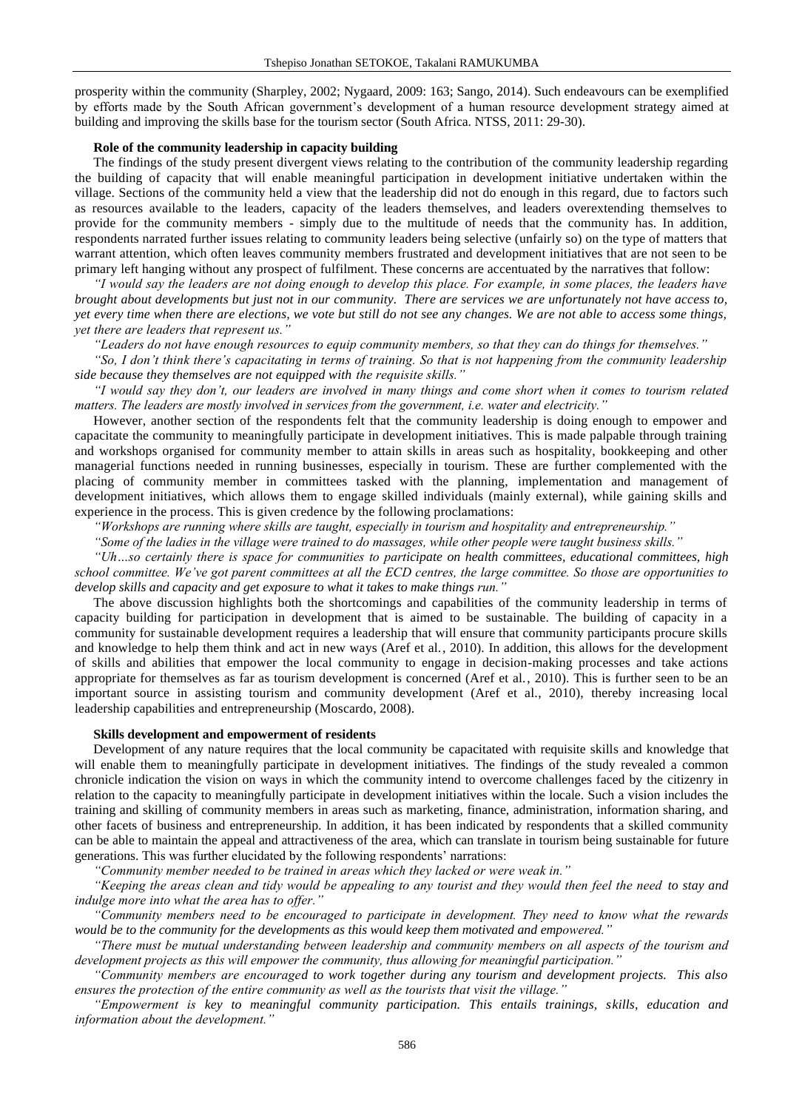prosperity within the community (Sharpley, 2002; Nygaard, 2009: 163; Sango, 2014). Such endeavours can be exemplified by efforts made by the South African government's development of a human resource development strategy aimed at building and improving the skills base for the tourism sector (South Africa. NTSS, 2011: 29-30).

### **Role of the community leadership in capacity building**

The findings of the study present divergent views relating to the contribution of the community leadership regarding the building of capacity that will enable meaningful participation in development initiative undertaken within the village. Sections of the community held a view that the leadership did not do enough in this regard, due to factors such as resources available to the leaders, capacity of the leaders themselves, and leaders overextending themselves to provide for the community members - simply due to the multitude of needs that the community has. In addition, respondents narrated further issues relating to community leaders being selective (unfairly so) on the type of matters that warrant attention, which often leaves community members frustrated and development initiatives that are not seen to be primary left hanging without any prospect of fulfilment. These concerns are accentuated by the narratives that follow:

*"I would say the leaders are not doing enough to develop this place. For example, in some places, the leaders have brought about developments but just not in our community. There are services we are unfortunately not have access to, yet every time when there are elections, we vote but still do not see any changes. We are not able to access some things, yet there are leaders that represent us."* 

*"Leaders do not have enough resources to equip community members, so that they can do things for themselves."* 

*"So, I don't think there's capacitating in terms of training. So that is not happening from the community leadership side because they themselves are not equipped with the requisite skills."* 

*"I would say they don't, our leaders are involved in many things and come short when it comes to tourism related matters. The leaders are mostly involved in services from the government, i.e. water and electricity."* 

However, another section of the respondents felt that the community leadership is doing enough to empower and capacitate the community to meaningfully participate in development initiatives. This is made palpable through training and workshops organised for community member to attain skills in areas such as hospitality, bookkeeping and other managerial functions needed in running businesses, especially in tourism. These are further complemented with the placing of community member in committees tasked with the planning, implementation and management of development initiatives, which allows them to engage skilled individuals (mainly external), while gaining skills and experience in the process. This is given credence by the following proclamations:

*"Workshops are running where skills are taught, especially in tourism and hospitality and entrepreneurship."* 

*"Some of the ladies in the village were trained to do massages, while other people were taught business skills."* 

*"Uh…so certainly there is space for communities to participate on health committees, educational committees, high school committee. We've got parent committees at all the ECD centres, the large committee. So those are opportunities to develop skills and capacity and get exposure to what it takes to make things run."*

The above discussion highlights both the shortcomings and capabilities of the community leadership in terms of capacity building for participation in development that is aimed to be sustainable. The building of capacity in a community for sustainable development requires a leadership that will ensure that community participants procure skills and knowledge to help them think and act in new ways (Aref et al., 2010). In addition, this allows for the development of skills and abilities that empower the local community to engage in decision-making processes and take actions appropriate for themselves as far as tourism development is concerned (Aref et al., 2010). This is further seen to be an important source in assisting tourism and community development (Aref et al., 2010), thereby increasing local leadership capabilities and entrepreneurship (Moscardo, 2008).

### **Skills development and empowerment of residents**

Development of any nature requires that the local community be capacitated with requisite skills and knowledge that will enable them to meaningfully participate in development initiatives. The findings of the study revealed a common chronicle indication the vision on ways in which the community intend to overcome challenges faced by the citizenry in relation to the capacity to meaningfully participate in development initiatives within the locale. Such a vision includes the training and skilling of community members in areas such as marketing, finance, administration, information sharing, and other facets of business and entrepreneurship. In addition, it has been indicated by respondents that a skilled community can be able to maintain the appeal and attractiveness of the area, which can translate in tourism being sustainable for future generations. This was further elucidated by the following respondents' narrations:

*"Community member needed to be trained in areas which they lacked or were weak in."* 

*"Keeping the areas clean and tidy would be appealing to any tourist and they would then feel the need to stay and indulge more into what the area has to offer."* 

*"Community members need to be encouraged to participate in development. They need to know what the rewards would be to the community for the developments as this would keep them motivated and empowered."* 

*"There must be mutual understanding between leadership and community members on all aspects of the tourism and development projects as this will empower the community, thus allowing for meaningful participation."* 

*"Community members are encouraged to work together during any tourism and development projects. This also ensures the protection of the entire community as well as the tourists that visit the village."* 

*"Empowerment is key to meaningful community participation. This entails trainings, skills, education and information about the development."*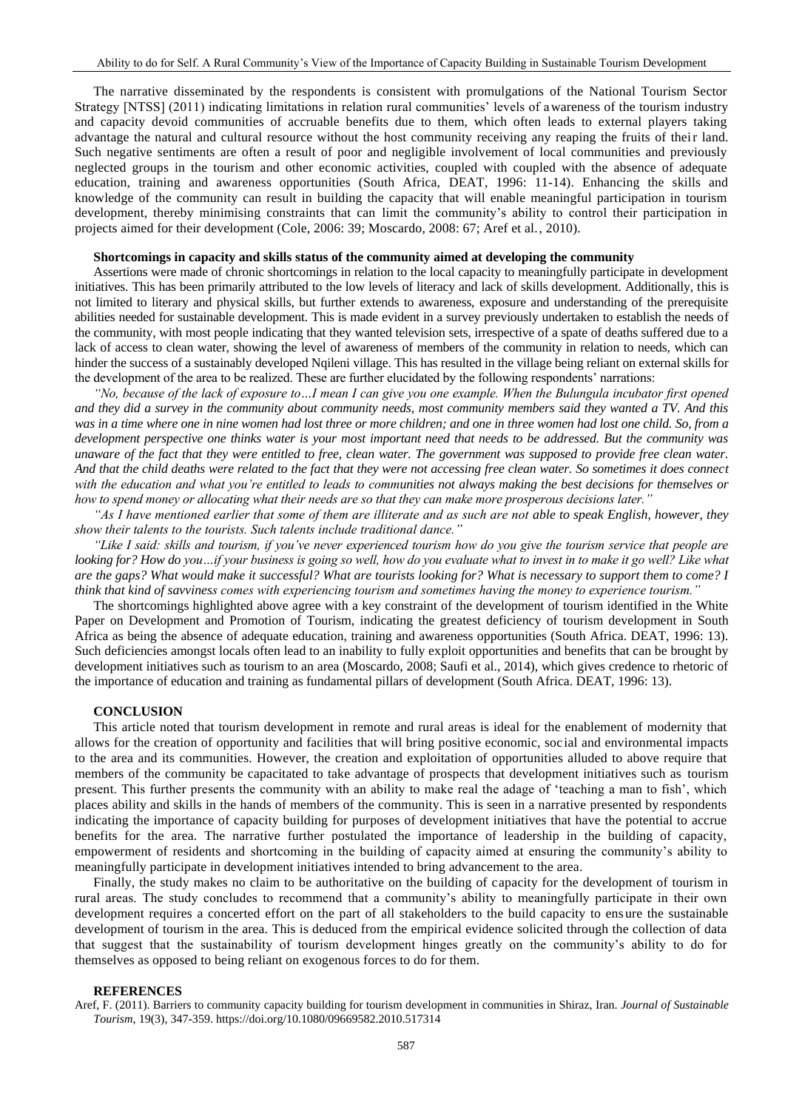The narrative disseminated by the respondents is consistent with promulgations of the National Tourism Sector Strategy [NTSS] (2011) indicating limitations in relation rural communities' levels of awareness of the tourism industry and capacity devoid communities of accruable benefits due to them, which often leads to external players taking advantage the natural and cultural resource without the host community receiving any reaping the fruits of their land. Such negative sentiments are often a result of poor and negligible involvement of local communities and previously neglected groups in the tourism and other economic activities, coupled with coupled with the absence of adequate education, training and awareness opportunities (South Africa, DEAT, 1996: 11-14). Enhancing the skills and knowledge of the community can result in building the capacity that will enable meaningful participation in tourism development, thereby minimising constraints that can limit the community's ability to control their participation in projects aimed for their development (Cole, 2006: 39; Moscardo, 2008: 67; Aref et al., 2010).

#### **Shortcomings in capacity and skills status of the community aimed at developing the community**

Assertions were made of chronic shortcomings in relation to the local capacity to meaningfully participate in development initiatives. This has been primarily attributed to the low levels of literacy and lack of skills development. Additionally, this is not limited to literary and physical skills, but further extends to awareness, exposure and understanding of the prerequisite abilities needed for sustainable development. This is made evident in a survey previously undertaken to establish the needs of the community, with most people indicating that they wanted television sets, irrespective of a spate of deaths suffered due to a lack of access to clean water, showing the level of awareness of members of the community in relation to needs, which can hinder the success of a sustainably developed Nqileni village. This has resulted in the village being reliant on external skills for the development of the area to be realized. These are further elucidated by the following respondents' narrations:

*"No, because of the lack of exposure to…I mean I can give you one example. When the Bulungula incubator first opened and they did a survey in the community about community needs, most community members said they wanted a TV. And this was in a time where one in nine women had lost three or more children; and one in three women had lost one child. So, from a development perspective one thinks water is your most important need that needs to be addressed. But the community was unaware of the fact that they were entitled to free, clean water. The government was supposed to provide free clean water. And that the child deaths were related to the fact that they were not accessing free clean water. So sometimes it does connect with the education and what you're entitled to leads to communities not always making the best decisions for themselves or how to spend money or allocating what their needs are so that they can make more prosperous decisions later."* 

*"As I have mentioned earlier that some of them are illiterate and as such are not able to speak English, however, they show their talents to the tourists. Such talents include traditional dance."* 

*"Like I said: skills and tourism, if you've never experienced tourism how do you give the tourism service that people are looking for? How do you…if your business is going so well, how do you evaluate what to invest in to make it go well? Like what are the gaps? What would make it successful? What are tourists looking for? What is necessary to support them to come? I think that kind of savviness comes with experiencing tourism and sometimes having the money to experience tourism."*

The shortcomings highlighted above agree with a key constraint of the development of tourism identified in the White Paper on Development and Promotion of Tourism, indicating the greatest deficiency of tourism development in South Africa as being the absence of adequate education, training and awareness opportunities (South Africa. DEAT, 1996: 13). Such deficiencies amongst locals often lead to an inability to fully exploit opportunities and benefits that can be brought by development initiatives such as tourism to an area (Moscardo, 2008; Saufi et al., 2014), which gives credence to rhetoric of the importance of education and training as fundamental pillars of development (South Africa. DEAT, 1996: 13).

## **CONCLUSION**

This article noted that tourism development in remote and rural areas is ideal for the enablement of modernity that allows for the creation of opportunity and facilities that will bring positive economic, soc ial and environmental impacts to the area and its communities. However, the creation and exploitation of opportunities alluded to above require that members of the community be capacitated to take advantage of prospects that development initiatives such as tourism present. This further presents the community with an ability to make real the adage of 'teaching a man to fish', which places ability and skills in the hands of members of the community. This is seen in a narrative presented by respondents indicating the importance of capacity building for purposes of development initiatives that have the potential to accrue benefits for the area. The narrative further postulated the importance of leadership in the building of capacity, empowerment of residents and shortcoming in the building of capacity aimed at ensuring the community's ability to meaningfully participate in development initiatives intended to bring advancement to the area.

Finally, the study makes no claim to be authoritative on the building of capacity for the development of tourism in rural areas. The study concludes to recommend that a community's ability to meaningfully participate in their own development requires a concerted effort on the part of all stakeholders to the build capacity to ens ure the sustainable development of tourism in the area. This is deduced from the empirical evidence solicited through the collection of data that suggest that the sustainability of tourism development hinges greatly on the community's ability to do for themselves as opposed to being reliant on exogenous forces to do for them.

#### **REFERENCES**

Aref, F. (2011). Barriers to community capacity building for tourism development in communities in Shiraz, Iran. *Journal of Sustainable Tourism*, 19(3), 347-359.<https://doi.org/10.1080/09669582.2010.517314>